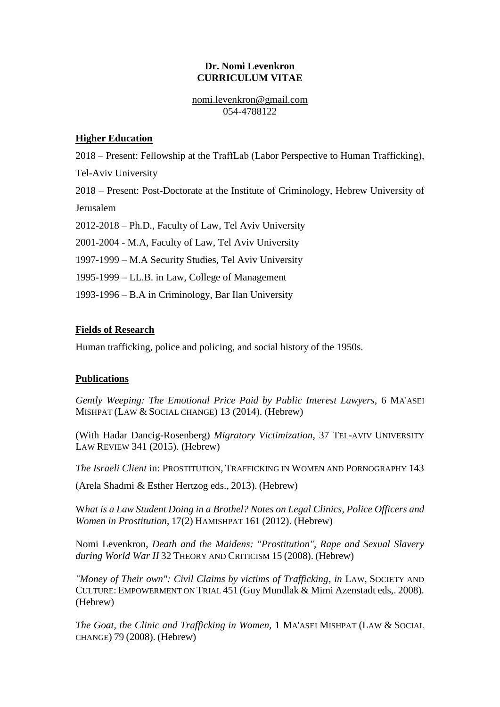### **Dr. Nomi Levenkron CURRICULUM VITAE**

nomi.levenkron@gmail.com 054-4788122

## **Higher Education**

2018 – Present: Fellowship at the TraffLab (Labor Perspective to Human Trafficking),

Tel-Aviv University

2018 – Present: Post-Doctorate at the Institute of Criminology, Hebrew University of Jerusalem

2012-2018 – Ph.D., Faculty of Law, Tel Aviv University

2001-2004 - M.A, Faculty of Law, Tel Aviv University

1997-1999 – M.A Security Studies, Tel Aviv University

1995-1999 – LL.B. in Law, College of Management

1993-1996 – B.A in Criminology, Bar Ilan University

## **Fields of Research**

Human trafficking, police and policing, and social history of the 1950s.

# **Publications**

*Gently Weeping: The Emotional Price Paid by Public Interest Lawyers,* 6 MA'ASEI MISHPAT (LAW & SOCIAL CHANGE) 13 (2014). (Hebrew)

(With Hadar Dancig-Rosenberg) *Migratory Victimization,* 37 TEL-AVIV UNIVERSITY LAW REVIEW 341 (2015). (Hebrew)

*The Israeli Client* in: PROSTITUTION, TRAFFICKING IN WOMEN AND PORNOGRAPHY 143

(Arela Shadmi & Esther Hertzog eds., 2013). (Hebrew)

W*hat is a Law Student Doing in a Brothel? Notes on Legal Clinics, Police Officers and Women in Prostitution*, 17(2) HAMISHPAT 161 (2012). (Hebrew)

Nomi Levenkron, *Death and the Maidens: "Prostitution", Rape and Sexual Slavery during World War II* 32 THEORY AND CRITICISM 15 (2008). (Hebrew)

"Money of Their own": Civil Claims by victims of Trafficking, in LAW, SOCIETY AND CULTURE: EMPOWERMENT ON TRIAL 451 (Guy Mundlak & Mimi Azenstadt eds,. 2008). (Hebrew)

*The Goat, the Clinic and Trafficking in Women,* 1 MA'ASEI MISHPAT (LAW & SOCIAL CHANGE) 79 (2008). (Hebrew)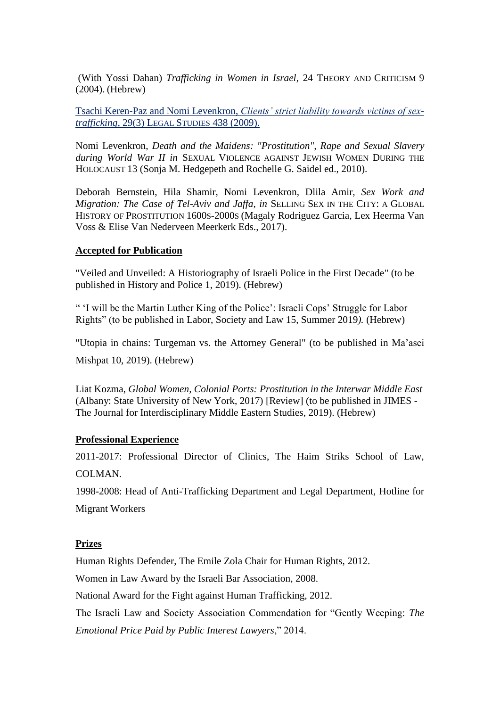(With Yossi Dahan) *Trafficking in Women in Israel,* 24 THEORY AND CRITICISM 9 (2004). (Hebrew)

Tsachi Keren-Paz and Nomi Levenkron, *Clients' strict liability towards victims of sextrafficking*, 29(3) LEGAL STUDIES 438 (2009).

Nomi Levenkron, *Death and the Maidens: "Prostitution", Rape and Sexual Slavery during World War II in* SEXUAL VIOLENCE AGAINST JEWISH WOMEN DURING THE HOLOCAUST 13 (Sonja M. Hedgepeth and Rochelle G. Saidel ed., 2010).

Deborah Bernstein, Hila Shamir, Nomi Levenkron, Dlila Amir, *Sex Work and Migration: The Case of Tel-Aviv and Jaffa, in* SELLING SEX IN THE CITY: A GLOBAL HISTORY OF PROSTITUTION 1600S-2000S (Magaly Rodriguez Garcia, Lex Heerma Van Voss & Elise Van Nederveen Meerkerk Eds., 2017).

### **Accepted for Publication**

"Veiled and Unveiled: A Historiography of Israeli Police in the First Decade" (to be published in History and Police 1, 2019). (Hebrew)

" 'I will be the Martin Luther King of the Police': Israeli Cops' Struggle for Labor Rights" (to be published in Labor, Society and Law 15, Summer 2019*).* (Hebrew)

"Utopia in chains: Turgeman vs. the Attorney General" (to be published in Ma'asei

Mishpat 10, 2019). (Hebrew)

Liat Kozma, *Global Women, Colonial Ports: Prostitution in the Interwar Middle East*  (Albany: State University of New York, 2017) [Review] (to be published in JIMES - The Journal for Interdisciplinary Middle Eastern Studies, 2019). (Hebrew)

#### **Professional Experience**

2011-2017: Professional Director of Clinics, The Haim Striks School of Law, COLMAN.

1998-2008: Head of Anti-Trafficking Department and Legal Department, Hotline for Migrant Workers

#### **Prizes**

Human Rights Defender, The Emile Zola Chair for Human Rights, 2012.

Women in Law Award by the Israeli Bar Association, 2008.

National Award for the Fight against Human Trafficking, 2012.

The Israeli Law and Society Association Commendation for "Gently Weeping: *The Emotional Price Paid by Public Interest Lawyers*," 2014.